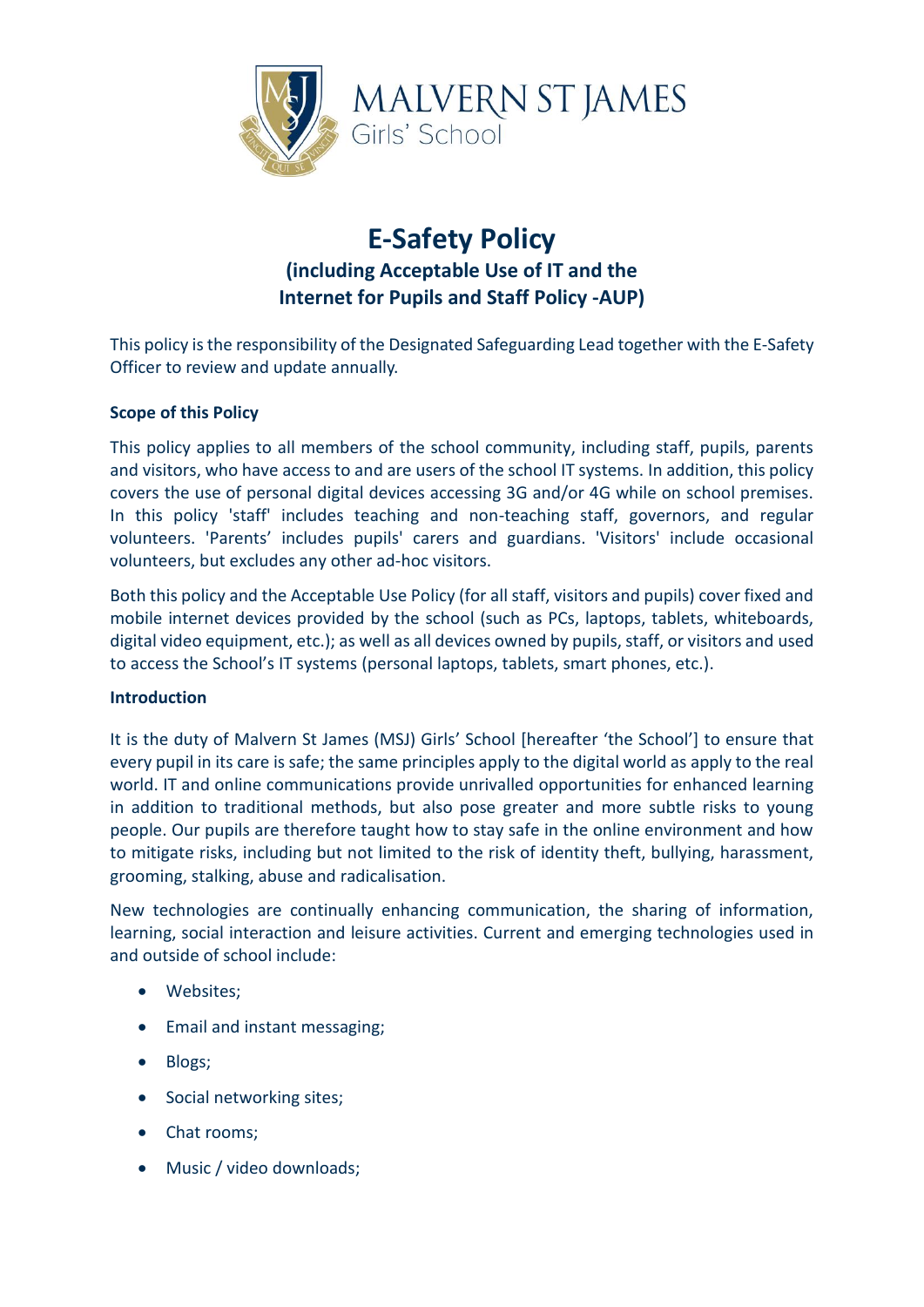

## **E-Safety Policy (including Acceptable Use of IT and the Internet for Pupils and Staff Policy -AUP)**

This policy is the responsibility of the Designated Safeguarding Lead together with the E-Safety Officer to review and update annually.

#### **Scope of this Policy**

This policy applies to all members of the school community, including staff, pupils, parents and visitors, who have access to and are users of the school IT systems. In addition, this policy covers the use of personal digital devices accessing 3G and/or 4G while on school premises. In this policy 'staff' includes teaching and non-teaching staff, governors, and regular volunteers. 'Parents' includes pupils' carers and guardians. 'Visitors' include occasional volunteers, but excludes any other ad-hoc visitors.

Both this policy and the Acceptable Use Policy (for all staff, visitors and pupils) cover fixed and mobile internet devices provided by the school (such as PCs, laptops, tablets, whiteboards, digital video equipment, etc.); as well as all devices owned by pupils, staff, or visitors and used to access the School's IT systems (personal laptops, tablets, smart phones, etc.).

#### **Introduction**

It is the duty of Malvern St James (MSJ) Girls' School [hereafter 'the School'] to ensure that every pupil in its care is safe; the same principles apply to the digital world as apply to the real world. IT and online communications provide unrivalled opportunities for enhanced learning in addition to traditional methods, but also pose greater and more subtle risks to young people. Our pupils are therefore taught how to stay safe in the online environment and how to mitigate risks, including but not limited to the risk of identity theft, bullying, harassment, grooming, stalking, abuse and radicalisation.

New technologies are continually enhancing communication, the sharing of information, learning, social interaction and leisure activities. Current and emerging technologies used in and outside of school include:

- Websites;
- Email and instant messaging;
- Blogs;
- Social networking sites;
- Chat rooms;
- Music / video downloads;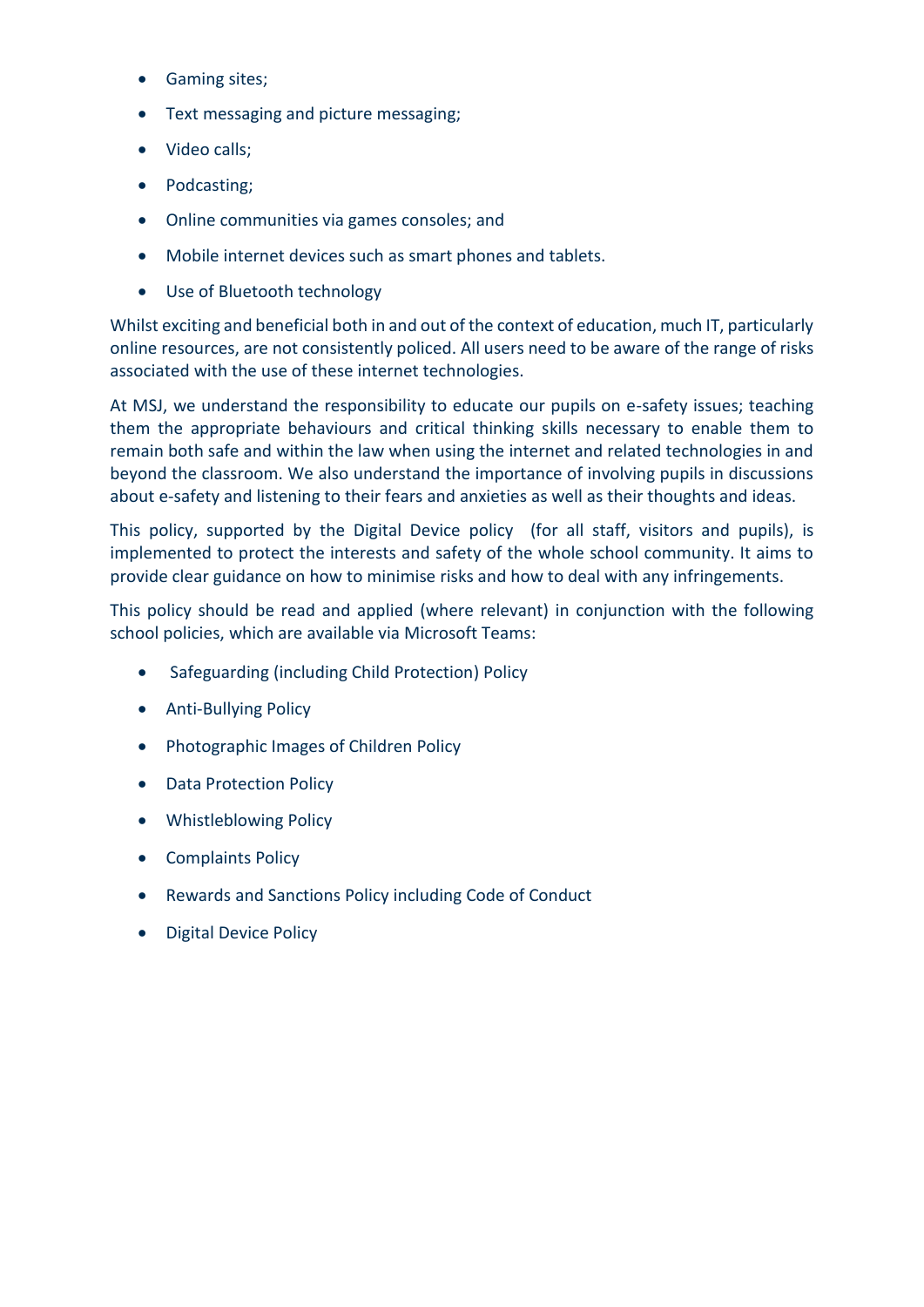- Gaming sites;
- Text messaging and picture messaging;
- Video calls;
- Podcasting;
- Online communities via games consoles; and
- Mobile internet devices such as smart phones and tablets.
- Use of Bluetooth technology

Whilst exciting and beneficial both in and out of the context of education, much IT, particularly online resources, are not consistently policed. All users need to be aware of the range of risks associated with the use of these internet technologies.

At MSJ, we understand the responsibility to educate our pupils on e-safety issues; teaching them the appropriate behaviours and critical thinking skills necessary to enable them to remain both safe and within the law when using the internet and related technologies in and beyond the classroom. We also understand the importance of involving pupils in discussions about e-safety and listening to their fears and anxieties as well as their thoughts and ideas.

This policy, supported by the Digital Device policy (for all staff, visitors and pupils), is implemented to protect the interests and safety of the whole school community. It aims to provide clear guidance on how to minimise risks and how to deal with any infringements.

This policy should be read and applied (where relevant) in conjunction with the following school policies, which are available via Microsoft Teams:

- Safeguarding (including Child Protection) Policy
- Anti-Bullying Policy
- Photographic Images of Children Policy
- Data Protection Policy
- Whistleblowing Policy
- Complaints Policy
- Rewards and Sanctions Policy including Code of Conduct
- Digital Device Policy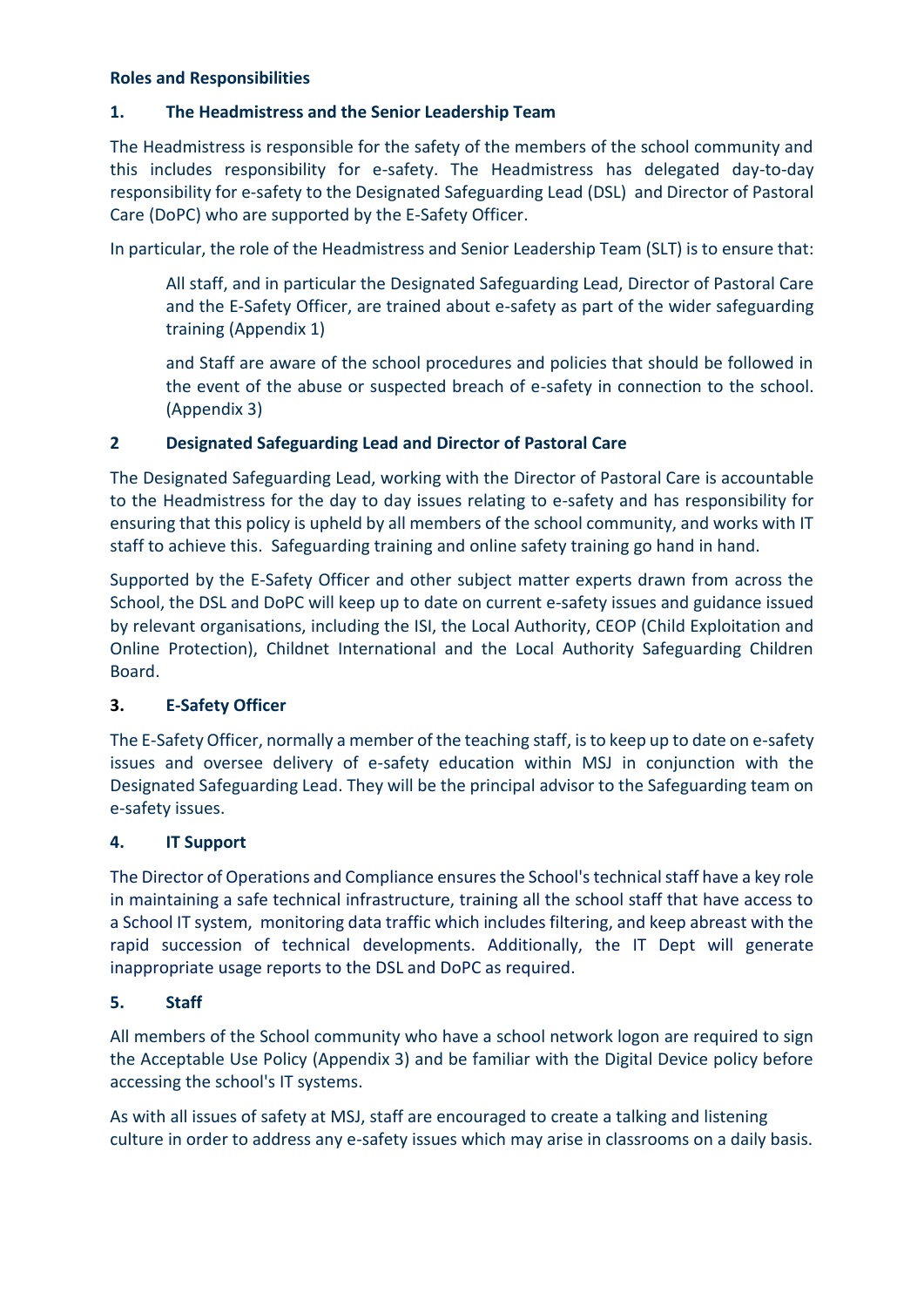#### **Roles and Responsibilities**

#### **1. The Headmistress and the Senior Leadership Team**

The Headmistress is responsible for the safety of the members of the school community and this includes responsibility for e-safety. The Headmistress has delegated day-to-day responsibility for e-safety to the Designated Safeguarding Lead (DSL) and Director of Pastoral Care (DoPC) who are supported by the E-Safety Officer.

In particular, the role of the Headmistress and Senior Leadership Team (SLT) is to ensure that:

All staff, and in particular the Designated Safeguarding Lead, Director of Pastoral Care and the E-Safety Officer, are trained about e-safety as part of the wider safeguarding training (Appendix 1)

and Staff are aware of the school procedures and policies that should be followed in the event of the abuse or suspected breach of e-safety in connection to the school. (Appendix 3)

#### **2 Designated Safeguarding Lead and Director of Pastoral Care**

The Designated Safeguarding Lead, working with the Director of Pastoral Care is accountable to the Headmistress for the day to day issues relating to e-safety and has responsibility for ensuring that this policy is upheld by all members of the school community, and works with IT staff to achieve this. Safeguarding training and online safety training go hand in hand.

Supported by the E-Safety Officer and other subject matter experts drawn from across the School, the DSL and DoPC will keep up to date on current e-safety issues and guidance issued by relevant organisations, including the ISI, the Local Authority, CEOP (Child Exploitation and Online Protection), Childnet International and the Local Authority Safeguarding Children Board.

#### **3. E-Safety Officer**

The E-Safety Officer, normally a member of the teaching staff, is to keep up to date on e-safety issues and oversee delivery of e-safety education within MSJ in conjunction with the Designated Safeguarding Lead. They will be the principal advisor to the Safeguarding team on e-safety issues.

#### **4. IT Support**

The Director of Operations and Compliance ensures the School's technical staff have a key role in maintaining a safe technical infrastructure, training all the school staff that have access to a School IT system, monitoring data traffic which includes filtering, and keep abreast with the rapid succession of technical developments. Additionally, the IT Dept will generate inappropriate usage reports to the DSL and DoPC as required.

#### **5. Staff**

All members of the School community who have a school network logon are required to sign the Acceptable Use Policy (Appendix 3) and be familiar with the Digital Device policy before accessing the school's IT systems.

As with all issues of safety at MSJ, staff are encouraged to create a talking and listening culture in order to address any e-safety issues which may arise in classrooms on a daily basis.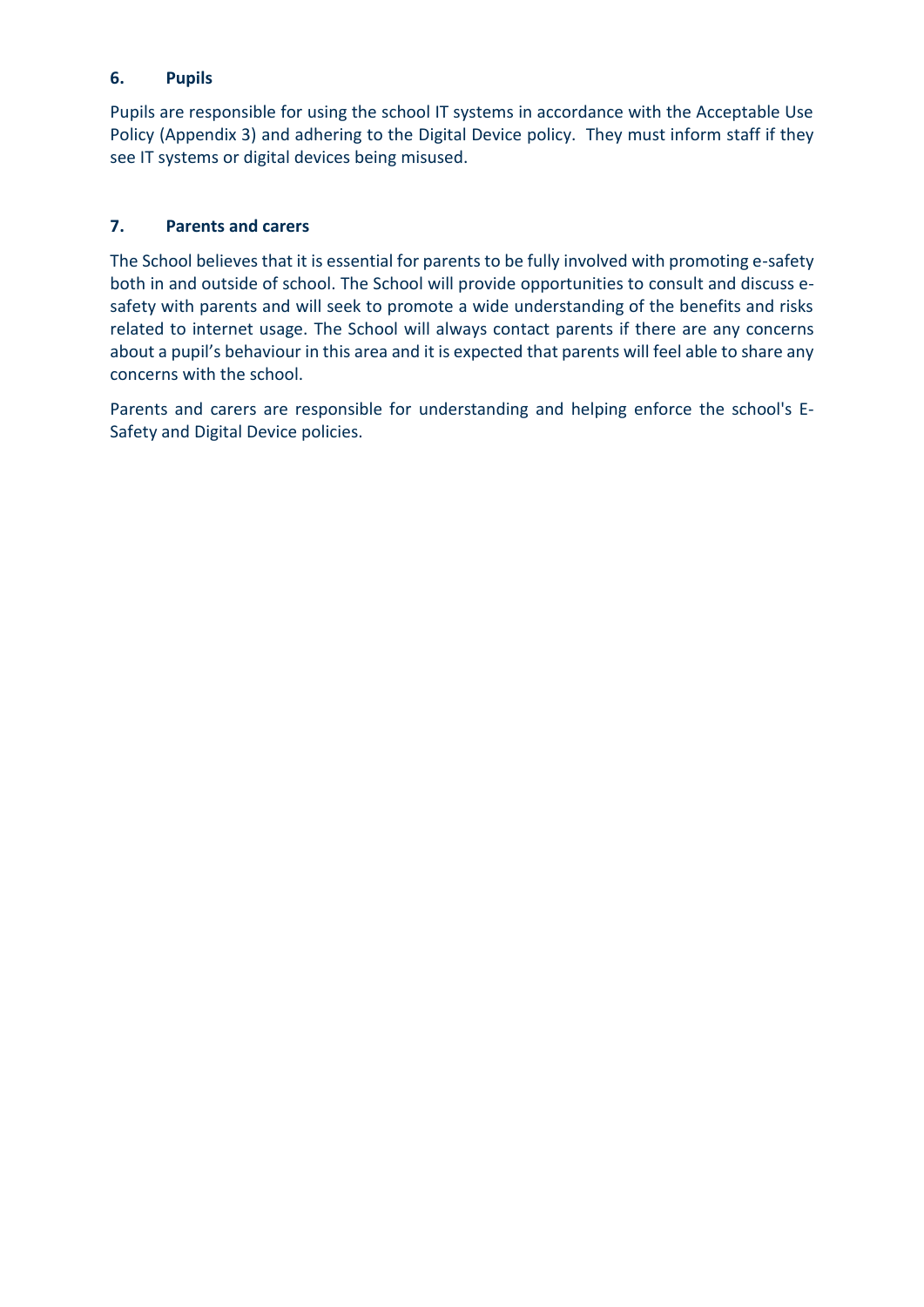#### **6. Pupils**

Pupils are responsible for using the school IT systems in accordance with the Acceptable Use Policy (Appendix 3) and adhering to the Digital Device policy. They must inform staff if they see IT systems or digital devices being misused.

#### **7. Parents and carers**

The School believes that it is essential for parents to be fully involved with promoting e-safety both in and outside of school. The School will provide opportunities to consult and discuss esafety with parents and will seek to promote a wide understanding of the benefits and risks related to internet usage. The School will always contact parents if there are any concerns about a pupil's behaviour in this area and it is expected that parents will feel able to share any concerns with the school.

Parents and carers are responsible for understanding and helping enforce the school's E-Safety and Digital Device policies.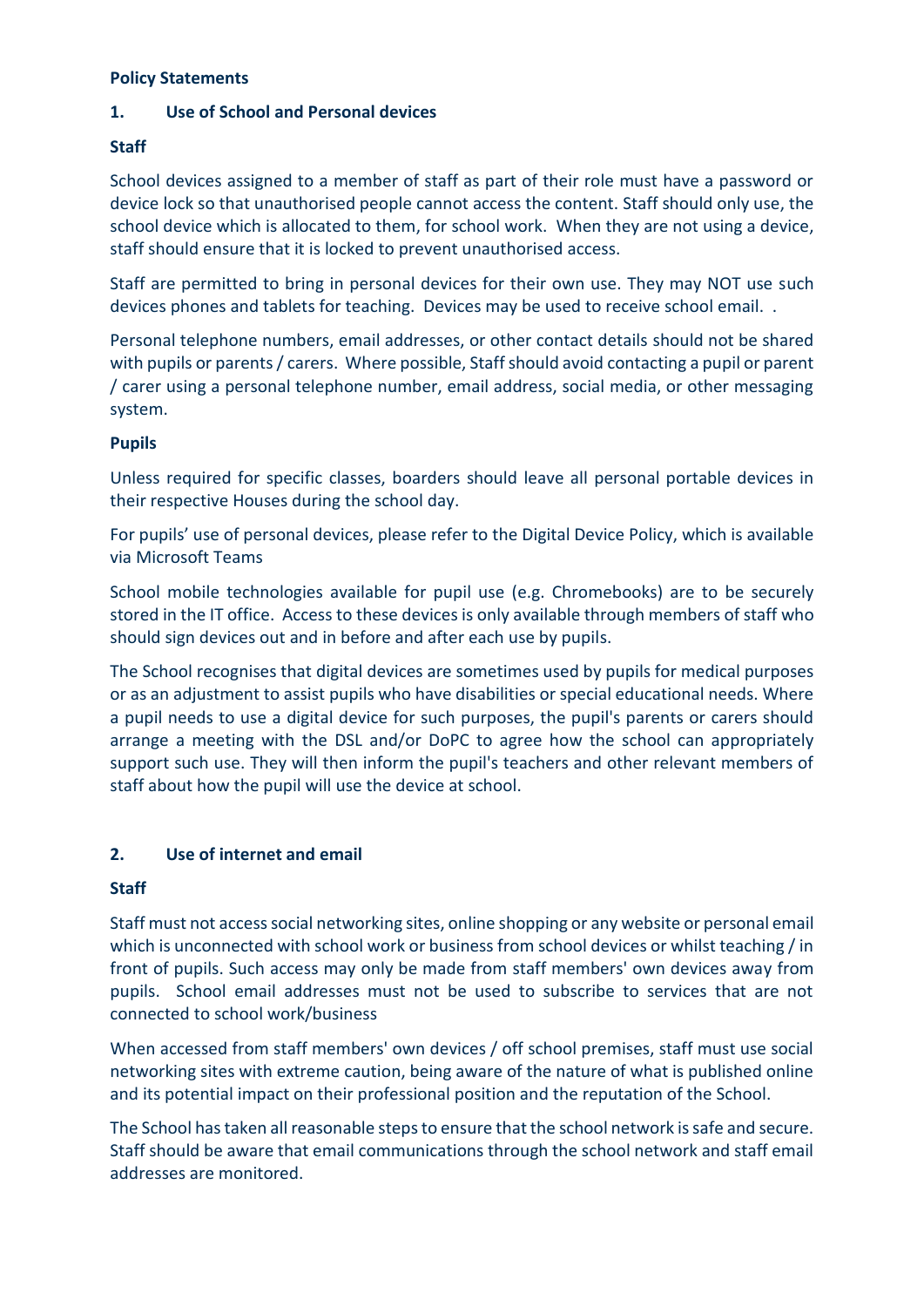#### **Policy Statements**

#### **1. Use of School and Personal devices**

#### **Staff**

School devices assigned to a member of staff as part of their role must have a password or device lock so that unauthorised people cannot access the content. Staff should only use, the school device which is allocated to them, for school work. When they are not using a device, staff should ensure that it is locked to prevent unauthorised access.

Staff are permitted to bring in personal devices for their own use. They may NOT use such devices phones and tablets for teaching. Devices may be used to receive school email. .

Personal telephone numbers, email addresses, or other contact details should not be shared with pupils or parents / carers. Where possible, Staff should avoid contacting a pupil or parent / carer using a personal telephone number, email address, social media, or other messaging system.

#### **Pupils**

Unless required for specific classes, boarders should leave all personal portable devices in their respective Houses during the school day.

For pupils' use of personal devices, please refer to the Digital Device Policy, which is available via Microsoft Teams

School mobile technologies available for pupil use (e.g. Chromebooks) are to be securely stored in the IT office. Access to these devices is only available through members of staff who should sign devices out and in before and after each use by pupils.

The School recognises that digital devices are sometimes used by pupils for medical purposes or as an adjustment to assist pupils who have disabilities or special educational needs. Where a pupil needs to use a digital device for such purposes, the pupil's parents or carers should arrange a meeting with the DSL and/or DoPC to agree how the school can appropriately support such use. They will then inform the pupil's teachers and other relevant members of staff about how the pupil will use the device at school.

#### **2. Use of internet and email**

#### **Staff**

Staff must not access social networking sites, online shopping or any website or personal email which is unconnected with school work or business from school devices or whilst teaching / in front of pupils. Such access may only be made from staff members' own devices away from pupils. School email addresses must not be used to subscribe to services that are not connected to school work/business

When accessed from staff members' own devices / off school premises, staff must use social networking sites with extreme caution, being aware of the nature of what is published online and its potential impact on their professional position and the reputation of the School.

The School has taken all reasonable steps to ensure that the school network is safe and secure. Staff should be aware that email communications through the school network and staff email addresses are monitored.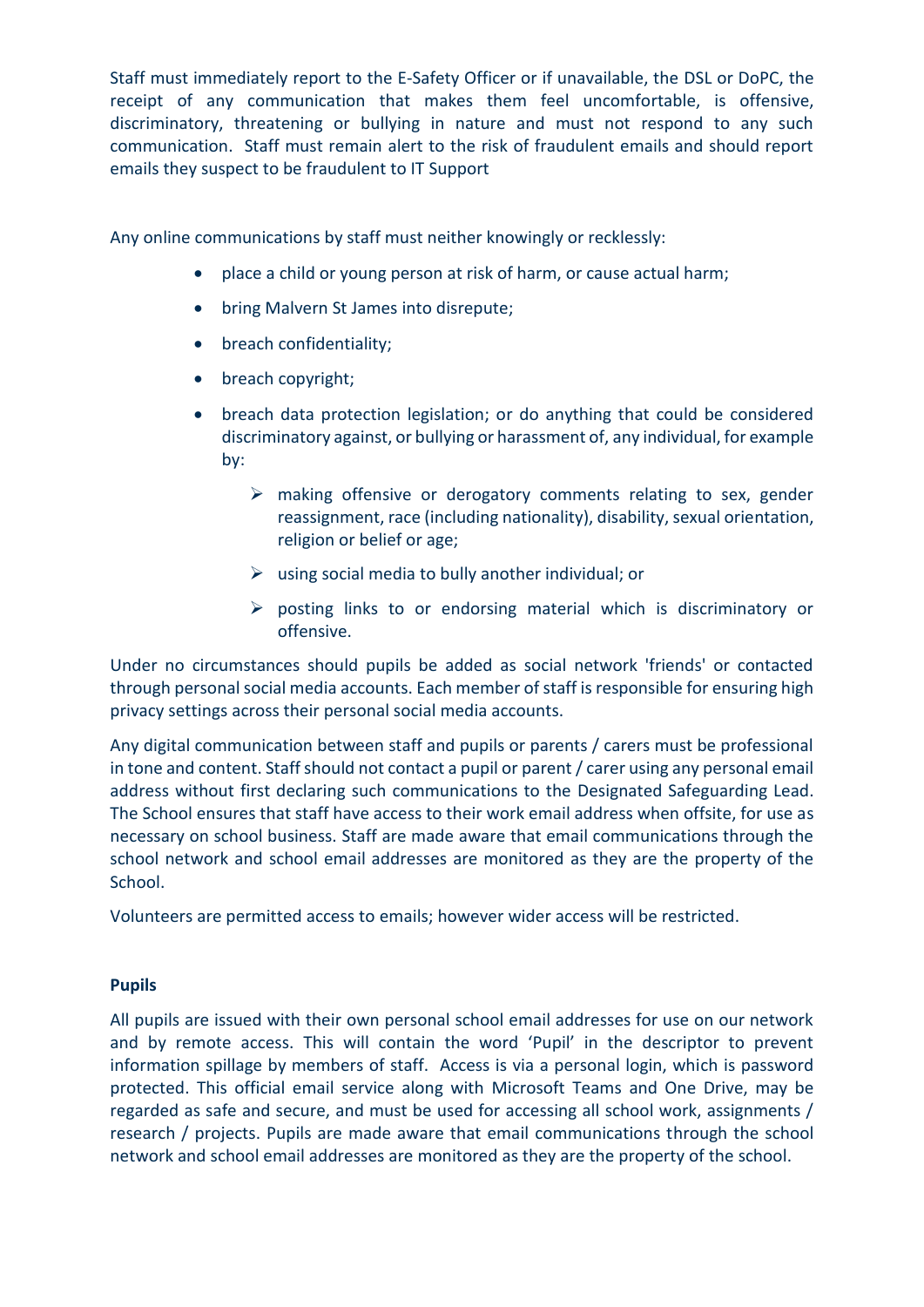Staff must immediately report to the E-Safety Officer or if unavailable, the DSL or DoPC, the receipt of any communication that makes them feel uncomfortable, is offensive, discriminatory, threatening or bullying in nature and must not respond to any such communication. Staff must remain alert to the risk of fraudulent emails and should report emails they suspect to be fraudulent to IT Support

Any online communications by staff must neither knowingly or recklessly:

- place a child or young person at risk of harm, or cause actual harm;
- bring Malvern St James into disrepute;
- breach confidentiality;
- breach copyright;
- breach data protection legislation; or do anything that could be considered discriminatory against, or bullying or harassment of, any individual, for example by:
	- ➢ making offensive or derogatory comments relating to sex, gender reassignment, race (including nationality), disability, sexual orientation, religion or belief or age;
	- $\triangleright$  using social media to bully another individual; or
	- ➢ posting links to or endorsing material which is discriminatory or offensive.

Under no circumstances should pupils be added as social network 'friends' or contacted through personal social media accounts. Each member of staff is responsible for ensuring high privacy settings across their personal social media accounts.

Any digital communication between staff and pupils or parents / carers must be professional in tone and content. Staff should not contact a pupil or parent / carer using any personal email address without first declaring such communications to the Designated Safeguarding Lead. The School ensures that staff have access to their work email address when offsite, for use as necessary on school business. Staff are made aware that email communications through the school network and school email addresses are monitored as they are the property of the School.

Volunteers are permitted access to emails; however wider access will be restricted.

#### **Pupils**

All pupils are issued with their own personal school email addresses for use on our network and by remote access. This will contain the word 'Pupil' in the descriptor to prevent information spillage by members of staff. Access is via a personal login, which is password protected. This official email service along with Microsoft Teams and One Drive, may be regarded as safe and secure, and must be used for accessing all school work, assignments / research / projects. Pupils are made aware that email communications through the school network and school email addresses are monitored as they are the property of the school.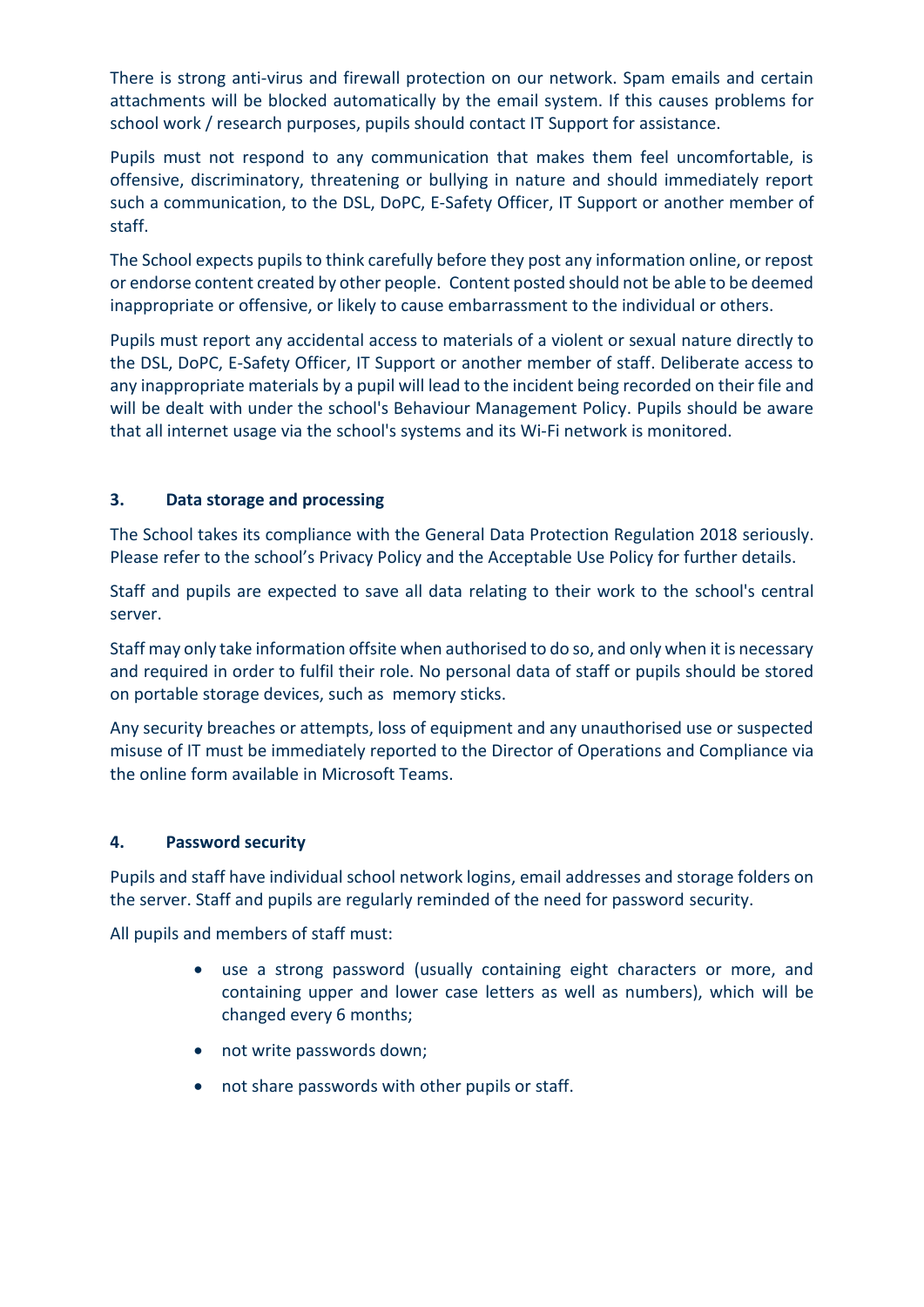There is strong anti-virus and firewall protection on our network. Spam emails and certain attachments will be blocked automatically by the email system. If this causes problems for school work / research purposes, pupils should contact IT Support for assistance.

Pupils must not respond to any communication that makes them feel uncomfortable, is offensive, discriminatory, threatening or bullying in nature and should immediately report such a communication, to the DSL, DoPC, E-Safety Officer, IT Support or another member of staff.

The School expects pupils to think carefully before they post any information online, or repost or endorse content created by other people. Content posted should not be able to be deemed inappropriate or offensive, or likely to cause embarrassment to the individual or others.

Pupils must report any accidental access to materials of a violent or sexual nature directly to the DSL, DoPC, E-Safety Officer, IT Support or another member of staff. Deliberate access to any inappropriate materials by a pupil will lead to the incident being recorded on their file and will be dealt with under the school's Behaviour Management Policy. Pupils should be aware that all internet usage via the school's systems and its Wi-Fi network is monitored.

#### **3. Data storage and processing**

The School takes its compliance with the General Data Protection Regulation 2018 seriously. Please refer to the school's Privacy Policy and the Acceptable Use Policy for further details.

Staff and pupils are expected to save all data relating to their work to the school's central server.

Staff may only take information offsite when authorised to do so, and only when it is necessary and required in order to fulfil their role. No personal data of staff or pupils should be stored on portable storage devices, such as memory sticks.

Any security breaches or attempts, loss of equipment and any unauthorised use or suspected misuse of IT must be immediately reported to the Director of Operations and Compliance via the online form available in Microsoft Teams.

#### **4. Password security**

Pupils and staff have individual school network logins, email addresses and storage folders on the server. Staff and pupils are regularly reminded of the need for password security.

All pupils and members of staff must:

- use a strong password (usually containing eight characters or more, and containing upper and lower case letters as well as numbers), which will be changed every 6 months;
- not write passwords down;
- not share passwords with other pupils or staff.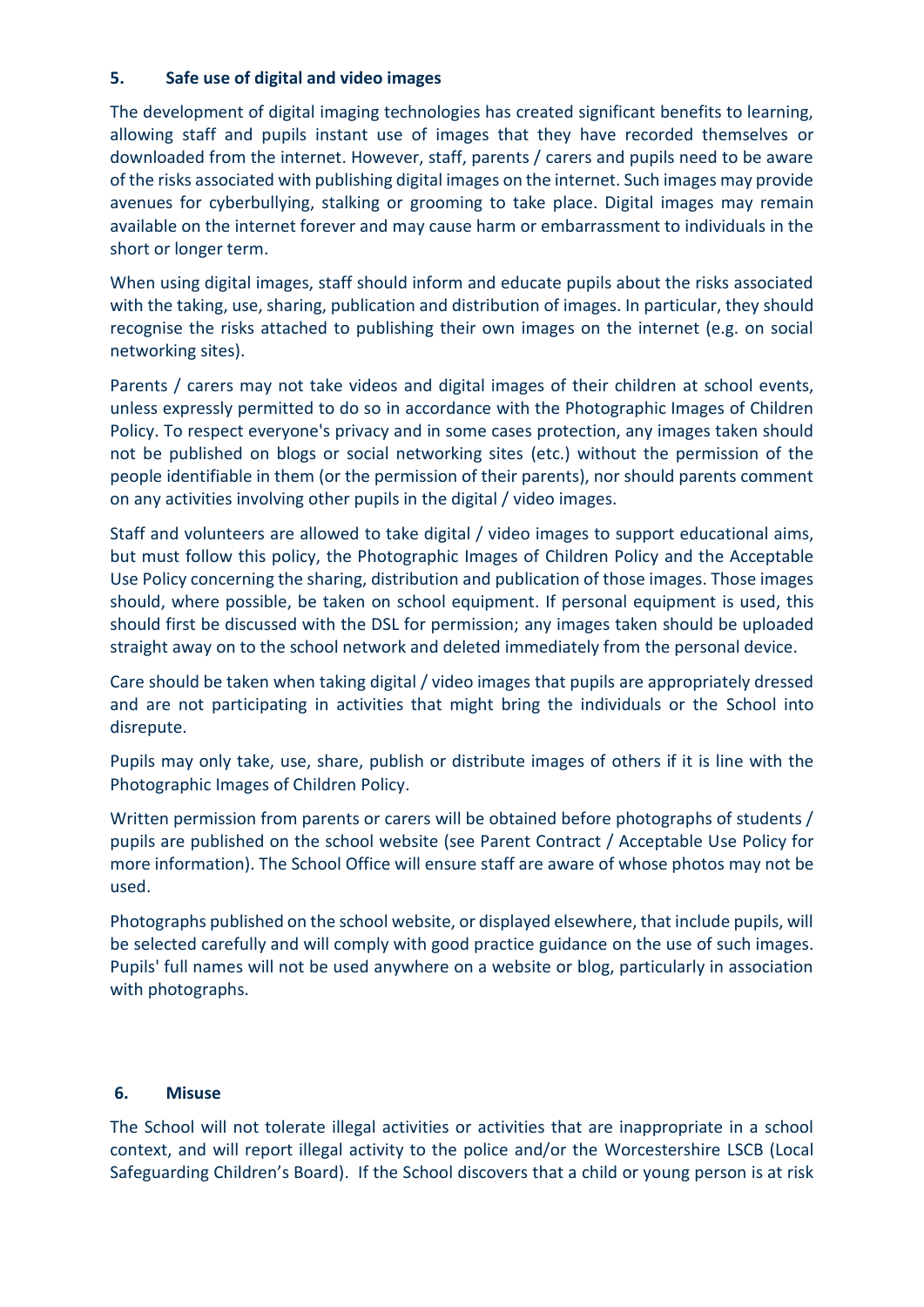#### **5. Safe use of digital and video images**

The development of digital imaging technologies has created significant benefits to learning, allowing staff and pupils instant use of images that they have recorded themselves or downloaded from the internet. However, staff, parents / carers and pupils need to be aware of the risks associated with publishing digital images on the internet. Such images may provide avenues for cyberbullying, stalking or grooming to take place. Digital images may remain available on the internet forever and may cause harm or embarrassment to individuals in the short or longer term.

When using digital images, staff should inform and educate pupils about the risks associated with the taking, use, sharing, publication and distribution of images. In particular, they should recognise the risks attached to publishing their own images on the internet (e.g. on social networking sites).

Parents / carers may not take videos and digital images of their children at school events, unless expressly permitted to do so in accordance with the Photographic Images of Children Policy. To respect everyone's privacy and in some cases protection, any images taken should not be published on blogs or social networking sites (etc.) without the permission of the people identifiable in them (or the permission of their parents), nor should parents comment on any activities involving other pupils in the digital / video images.

Staff and volunteers are allowed to take digital / video images to support educational aims, but must follow this policy, the Photographic Images of Children Policy and the Acceptable Use Policy concerning the sharing, distribution and publication of those images. Those images should, where possible, be taken on school equipment. If personal equipment is used, this should first be discussed with the DSL for permission; any images taken should be uploaded straight away on to the school network and deleted immediately from the personal device.

Care should be taken when taking digital / video images that pupils are appropriately dressed and are not participating in activities that might bring the individuals or the School into disrepute.

Pupils may only take, use, share, publish or distribute images of others if it is line with the Photographic Images of Children Policy.

Written permission from parents or carers will be obtained before photographs of students / pupils are published on the school website (see Parent Contract / Acceptable Use Policy for more information). The School Office will ensure staff are aware of whose photos may not be used.

Photographs published on the school website, or displayed elsewhere, that include pupils, will be selected carefully and will comply with good practice guidance on the use of such images. Pupils' full names will not be used anywhere on a website or blog, particularly in association with photographs.

#### **6. Misuse**

The School will not tolerate illegal activities or activities that are inappropriate in a school context, and will report illegal activity to the police and/or the Worcestershire LSCB (Local Safeguarding Children's Board). If the School discovers that a child or young person is at risk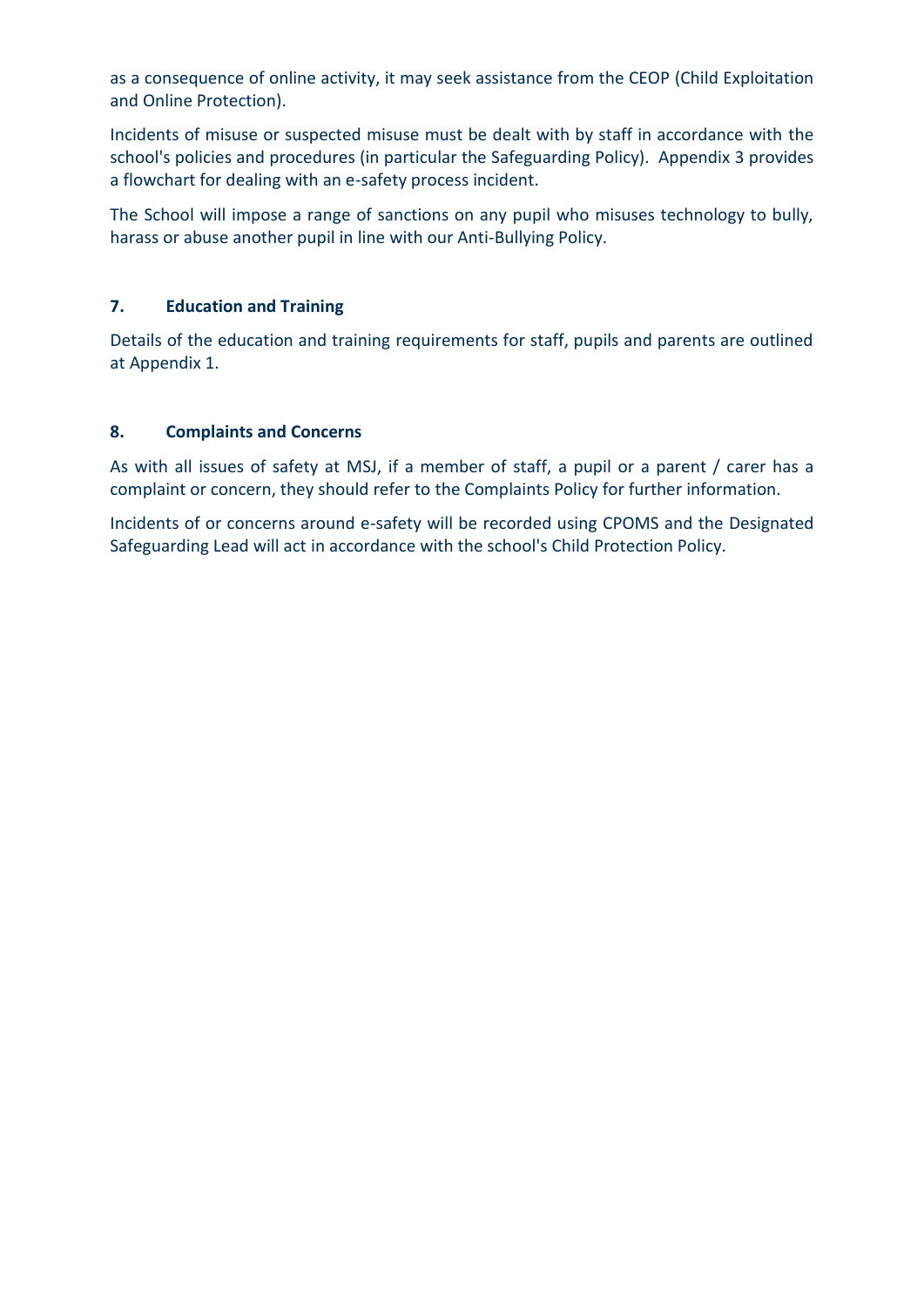as a consequence of online activity, it may seek assistance from the CEOP (Child Exploitation and Online Protection).

Incidents of misuse or suspected misuse must be dealt with by staff in accordance with the school's policies and procedures (in particular the Safeguarding Policy). Appendix 3 provides a flowchart for dealing with an e-safety process incident.

The School will impose a range of sanctions on any pupil who misuses technology to bully, harass or abuse another pupil in line with our Anti-Bullying Policy.

#### **7. Education and Training**

Details of the education and training requirements for staff, pupils and parents are outlined at Appendix 1.

#### **8. Complaints and Concerns**

As with all issues of safety at MSJ, if a member of staff, a pupil or a parent / carer has a complaint or concern, they should refer to the Complaints Policy for further information.

Incidents of or concerns around e-safety will be recorded using CPOMS and the Designated Safeguarding Lead will act in accordance with the school's Child Protection Policy.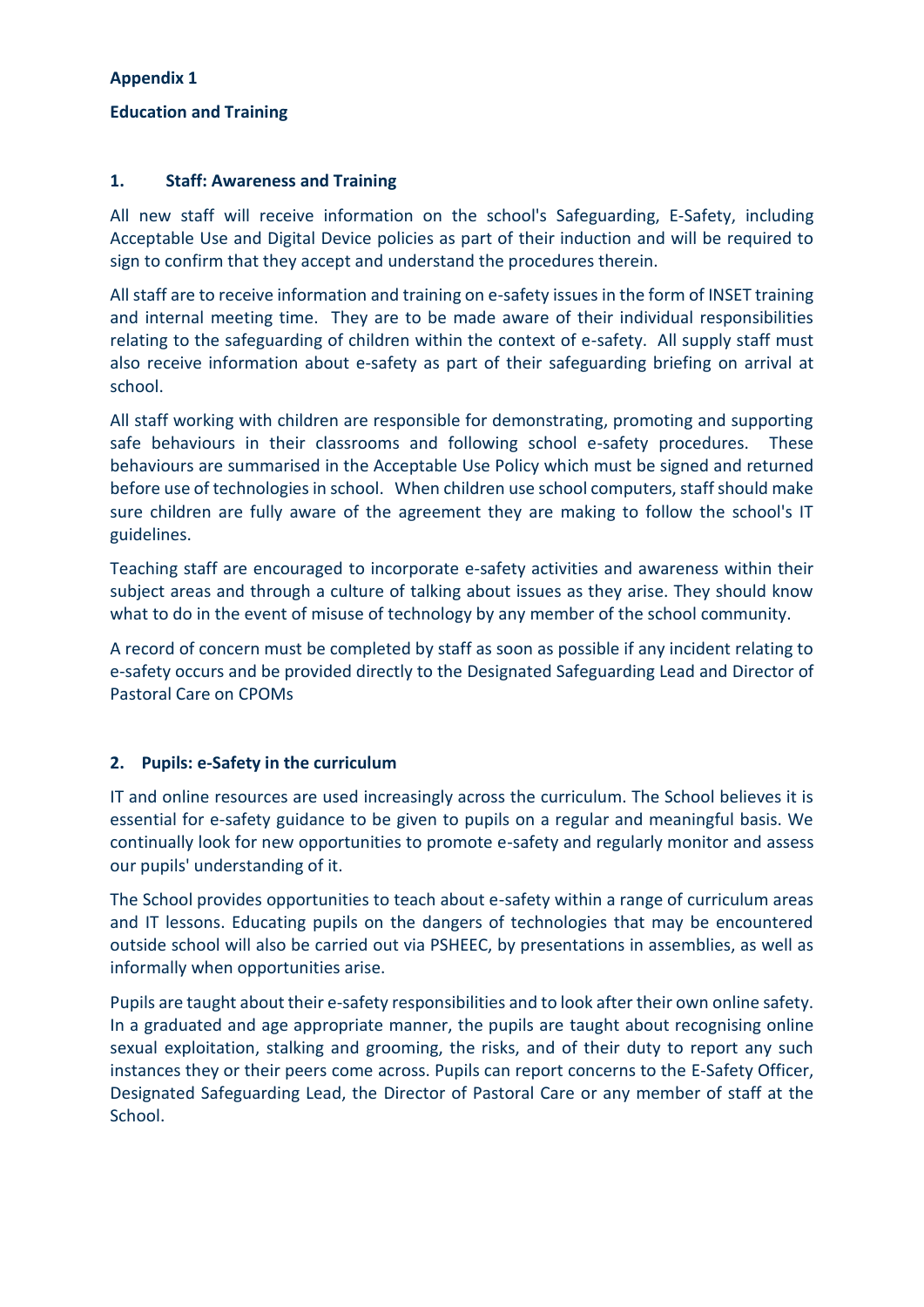#### **Appendix 1**

#### **Education and Training**

#### **1. Staff: Awareness and Training**

All new staff will receive information on the school's Safeguarding, E-Safety, including Acceptable Use and Digital Device policies as part of their induction and will be required to sign to confirm that they accept and understand the procedures therein.

All staff are to receive information and training on e-safety issues in the form of INSET training and internal meeting time. They are to be made aware of their individual responsibilities relating to the safeguarding of children within the context of e-safety. All supply staff must also receive information about e-safety as part of their safeguarding briefing on arrival at school.

All staff working with children are responsible for demonstrating, promoting and supporting safe behaviours in their classrooms and following school e-safety procedures. These behaviours are summarised in the Acceptable Use Policy which must be signed and returned before use of technologies in school. When children use school computers, staff should make sure children are fully aware of the agreement they are making to follow the school's IT guidelines.

Teaching staff are encouraged to incorporate e-safety activities and awareness within their subject areas and through a culture of talking about issues as they arise. They should know what to do in the event of misuse of technology by any member of the school community.

A record of concern must be completed by staff as soon as possible if any incident relating to e-safety occurs and be provided directly to the Designated Safeguarding Lead and Director of Pastoral Care on CPOMs

#### **2. Pupils: e-Safety in the curriculum**

IT and online resources are used increasingly across the curriculum. The School believes it is essential for e-safety guidance to be given to pupils on a regular and meaningful basis. We continually look for new opportunities to promote e-safety and regularly monitor and assess our pupils' understanding of it.

The School provides opportunities to teach about e-safety within a range of curriculum areas and IT lessons. Educating pupils on the dangers of technologies that may be encountered outside school will also be carried out via PSHEEC, by presentations in assemblies, as well as informally when opportunities arise.

Pupils are taught about their e-safety responsibilities and to look after their own online safety. In a graduated and age appropriate manner, the pupils are taught about recognising online sexual exploitation, stalking and grooming, the risks, and of their duty to report any such instances they or their peers come across. Pupils can report concerns to the E-Safety Officer, Designated Safeguarding Lead, the Director of Pastoral Care or any member of staff at the School.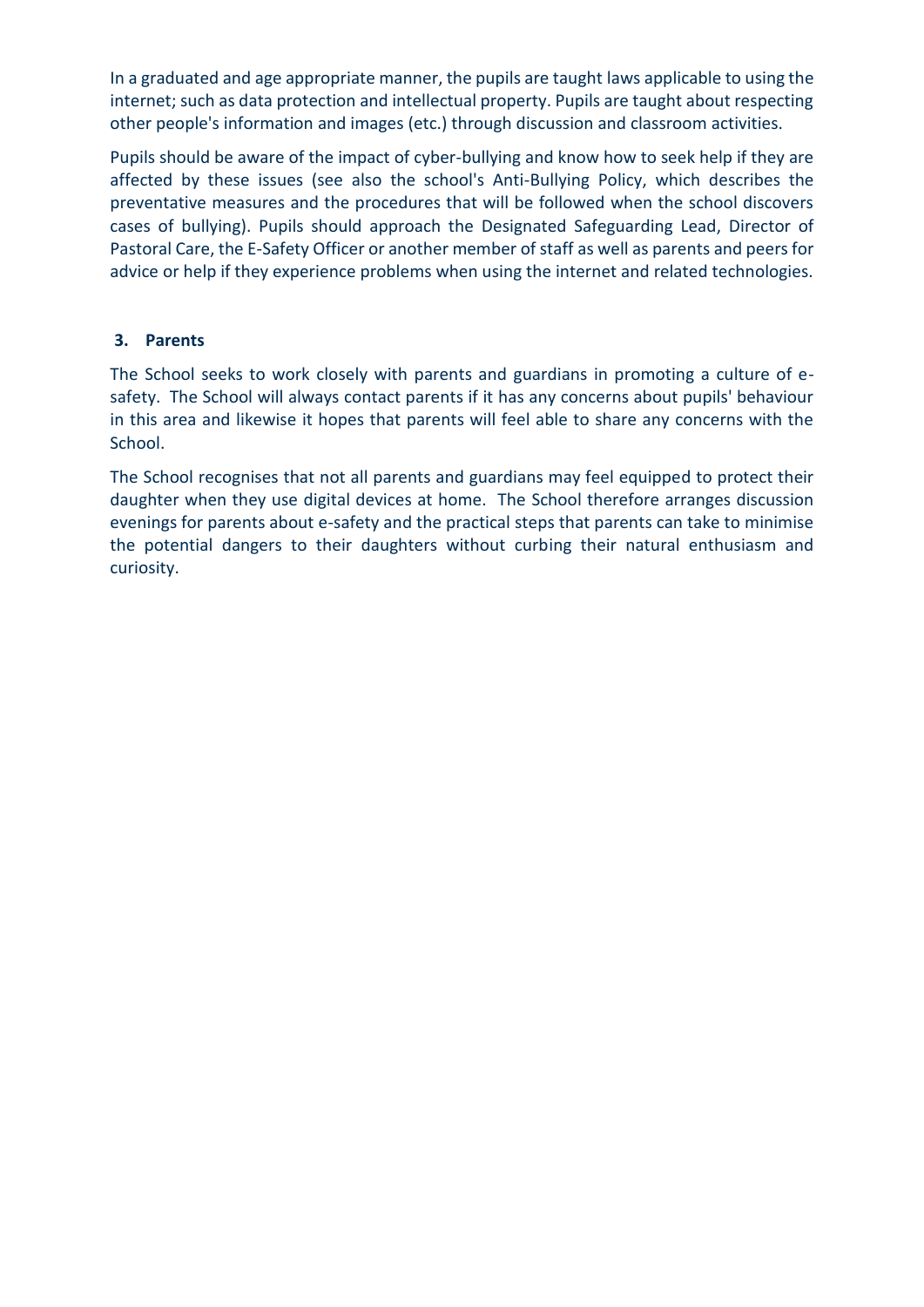In a graduated and age appropriate manner, the pupils are taught laws applicable to using the internet; such as data protection and intellectual property. Pupils are taught about respecting other people's information and images (etc.) through discussion and classroom activities.

Pupils should be aware of the impact of cyber-bullying and know how to seek help if they are affected by these issues (see also the school's Anti-Bullying Policy, which describes the preventative measures and the procedures that will be followed when the school discovers cases of bullying). Pupils should approach the Designated Safeguarding Lead, Director of Pastoral Care, the E-Safety Officer or another member of staff as well as parents and peersfor advice or help if they experience problems when using the internet and related technologies.

#### **3. Parents**

The School seeks to work closely with parents and guardians in promoting a culture of esafety. The School will always contact parents if it has any concerns about pupils' behaviour in this area and likewise it hopes that parents will feel able to share any concerns with the School.

The School recognises that not all parents and guardians may feel equipped to protect their daughter when they use digital devices at home. The School therefore arranges discussion evenings for parents about e-safety and the practical steps that parents can take to minimise the potential dangers to their daughters without curbing their natural enthusiasm and curiosity.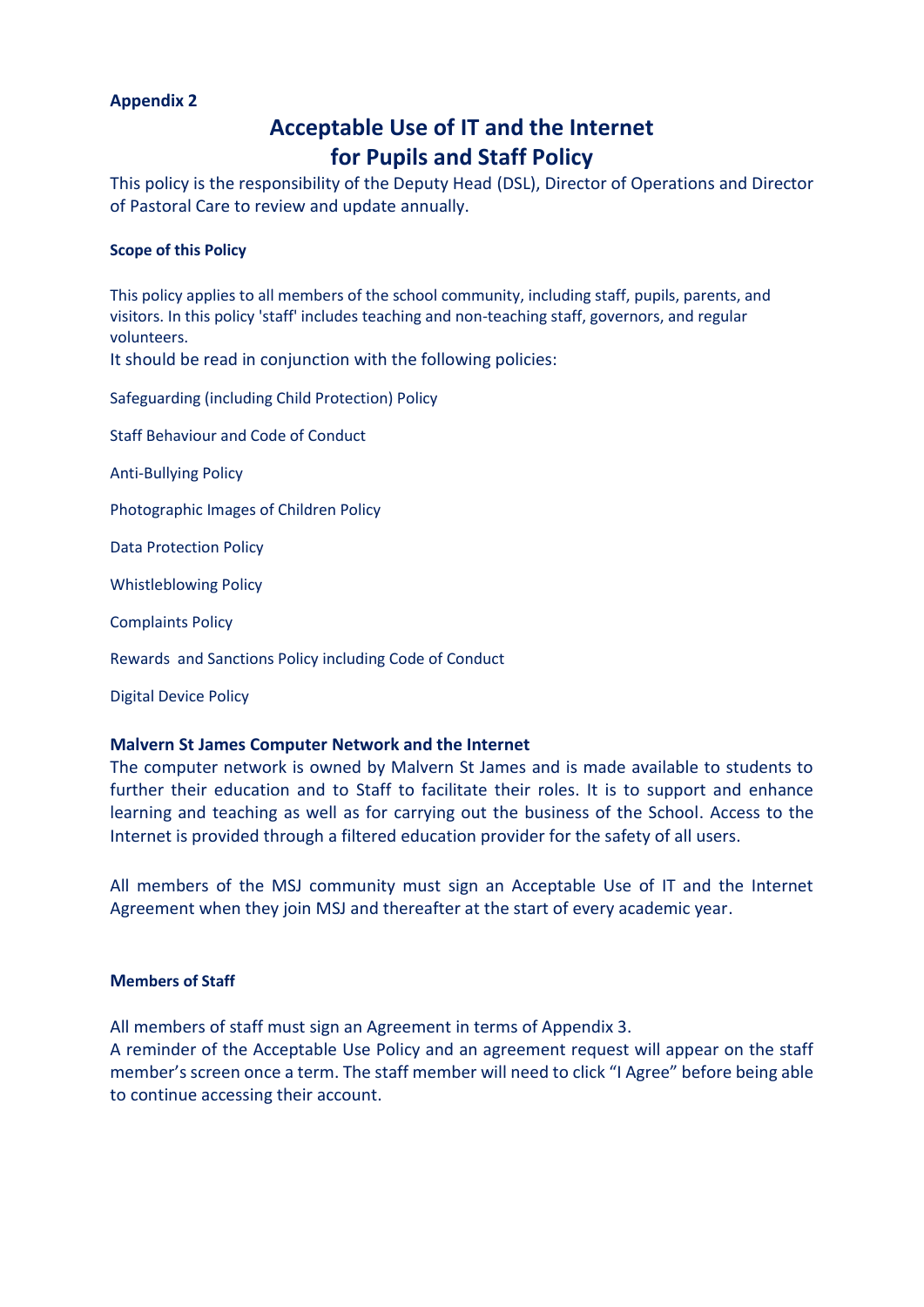#### **Appendix 2**

### **Acceptable Use of IT and the Internet for Pupils and Staff Policy**

This policy is the responsibility of the Deputy Head (DSL), Director of Operations and Director of Pastoral Care to review and update annually.

#### **Scope of this Policy**

This policy applies to all members of the school community, including staff, pupils, parents, and visitors. In this policy 'staff' includes teaching and non-teaching staff, governors, and regular volunteers.

It should be read in conjunction with the following policies:

Safeguarding (including Child Protection) Policy

Staff Behaviour and Code of Conduct

Anti-Bullying Policy

Photographic Images of Children Policy

Data Protection Policy

Whistleblowing Policy

Complaints Policy

Rewards and Sanctions Policy including Code of Conduct

Digital Device Policy

#### **Malvern St James Computer Network and the Internet**

The computer network is owned by Malvern St James and is made available to students to further their education and to Staff to facilitate their roles. It is to support and enhance learning and teaching as well as for carrying out the business of the School. Access to the Internet is provided through a filtered education provider for the safety of all users.

All members of the MSJ community must sign an Acceptable Use of IT and the Internet Agreement when they join MSJ and thereafter at the start of every academic year.

#### **Members of Staff**

All members of staff must sign an Agreement in terms of Appendix 3.

A reminder of the Acceptable Use Policy and an agreement request will appear on the staff member's screen once a term. The staff member will need to click "I Agree" before being able to continue accessing their account.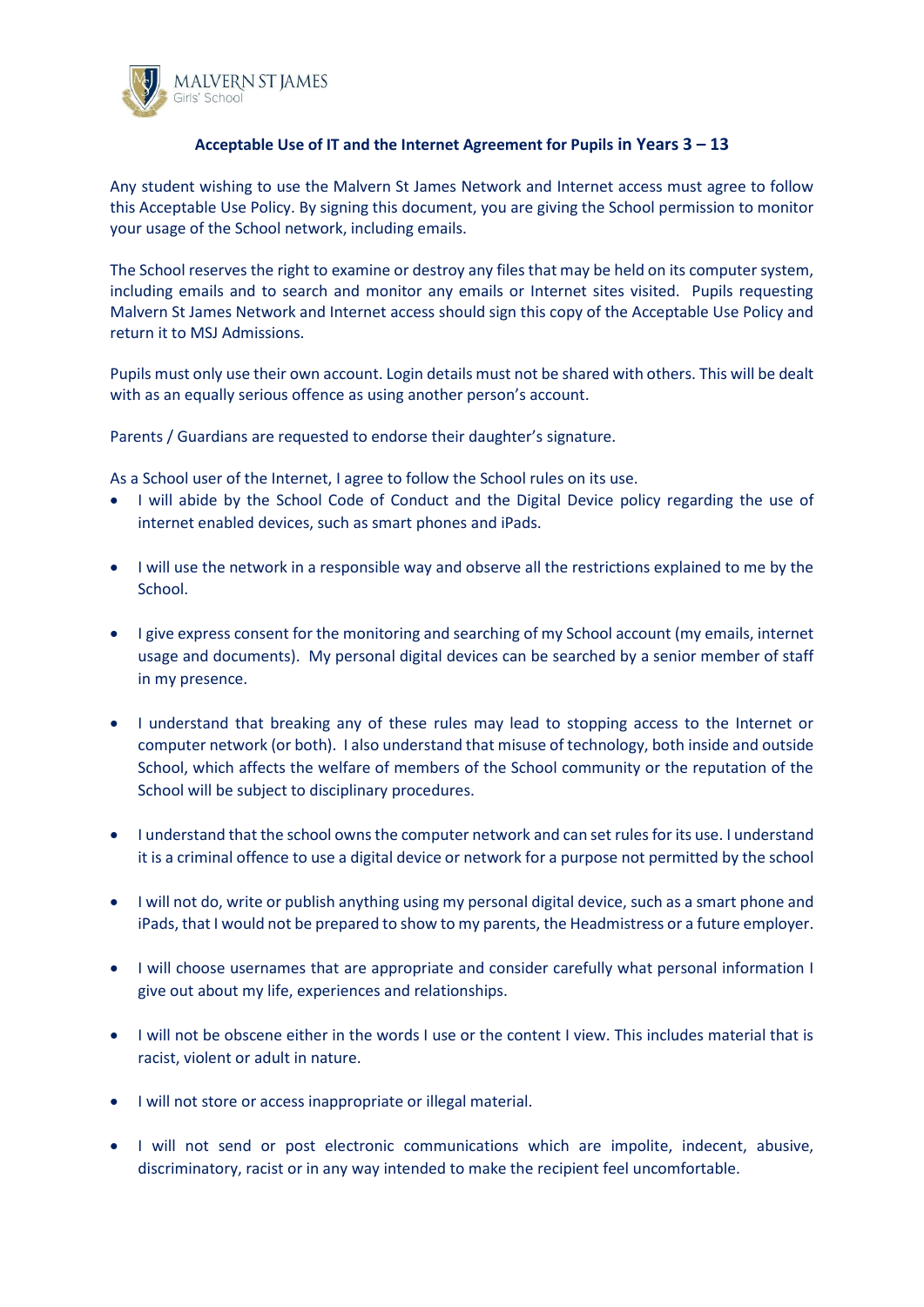

#### **Acceptable Use of IT and the Internet Agreement for Pupils in Years 3 – 13**

Any student wishing to use the Malvern St James Network and Internet access must agree to follow this Acceptable Use Policy. By signing this document, you are giving the School permission to monitor your usage of the School network, including emails.

The School reserves the right to examine or destroy any files that may be held on its computer system, including emails and to search and monitor any emails or Internet sites visited. Pupils requesting Malvern St James Network and Internet access should sign this copy of the Acceptable Use Policy and return it to MSJ Admissions.

Pupils must only use their own account. Login details must not be shared with others. This will be dealt with as an equally serious offence as using another person's account.

Parents / Guardians are requested to endorse their daughter's signature.

As a School user of the Internet, I agree to follow the School rules on its use.

- I will abide by the School Code of Conduct and the Digital Device policy regarding the use of internet enabled devices, such as smart phones and iPads.
- I will use the network in a responsible way and observe all the restrictions explained to me by the School.
- I give express consent for the monitoring and searching of my School account (my emails, internet usage and documents). My personal digital devices can be searched by a senior member of staff in my presence.
- I understand that breaking any of these rules may lead to stopping access to the Internet or computer network (or both). I also understand that misuse of technology, both inside and outside School, which affects the welfare of members of the School community or the reputation of the School will be subject to disciplinary procedures.
- I understand that the school owns the computer network and can set rules for its use. I understand it is a criminal offence to use a digital device or network for a purpose not permitted by the school
- I will not do, write or publish anything using my personal digital device, such as a smart phone and iPads, that I would not be prepared to show to my parents, the Headmistress or a future employer.
- I will choose usernames that are appropriate and consider carefully what personal information I give out about my life, experiences and relationships.
- I will not be obscene either in the words I use or the content I view. This includes material that is racist, violent or adult in nature.
- I will not store or access inappropriate or illegal material.
- I will not send or post electronic communications which are impolite, indecent, abusive, discriminatory, racist or in any way intended to make the recipient feel uncomfortable.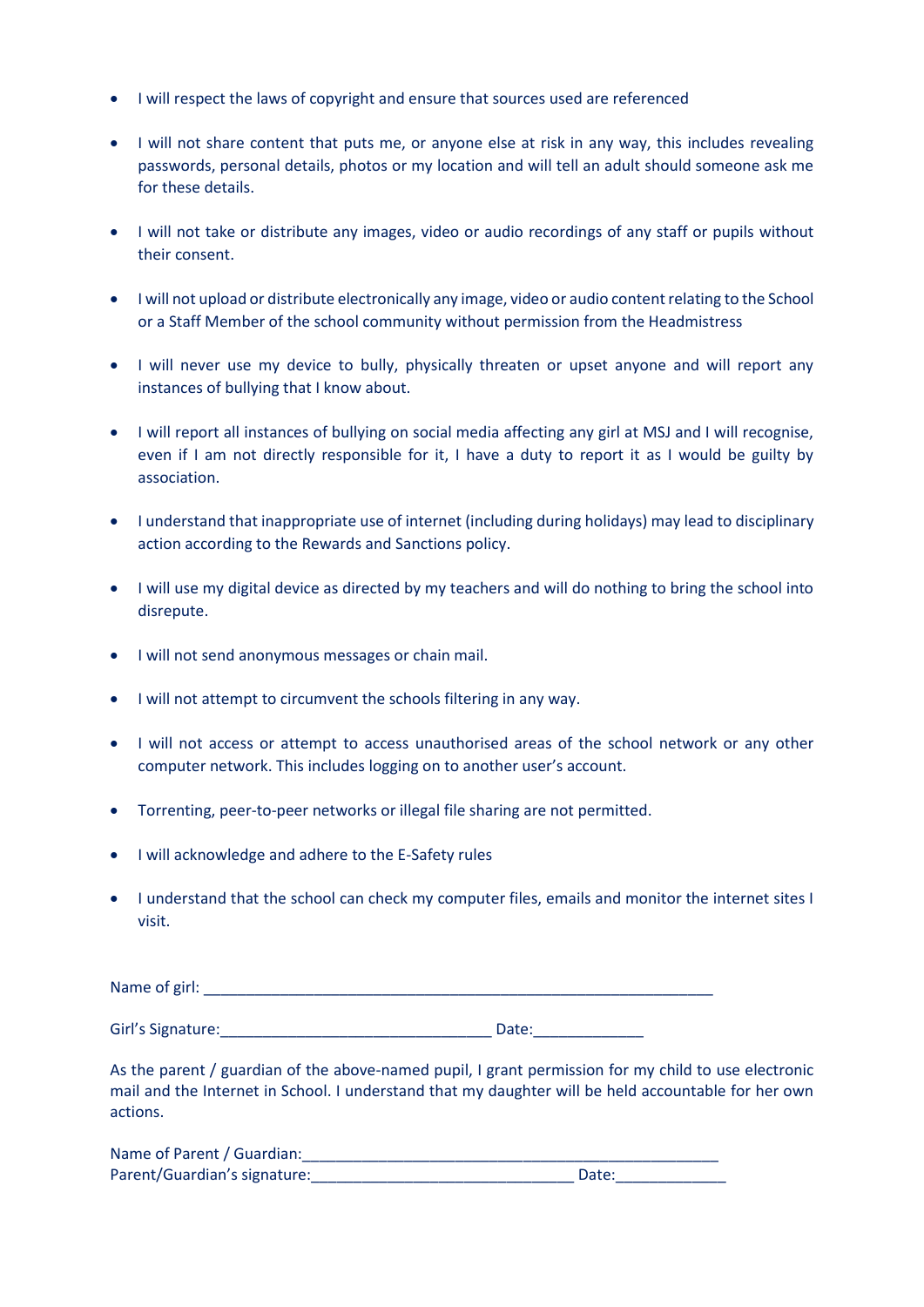- I will respect the laws of copyright and ensure that sources used are referenced
- I will not share content that puts me, or anyone else at risk in any way, this includes revealing passwords, personal details, photos or my location and will tell an adult should someone ask me for these details.
- I will not take or distribute any images, video or audio recordings of any staff or pupils without their consent.
- I will not upload or distribute electronically any image, video or audio content relating to the School or a Staff Member of the school community without permission from the Headmistress
- I will never use my device to bully, physically threaten or upset anyone and will report any instances of bullying that I know about.
- I will report all instances of bullying on social media affecting any girl at MSJ and I will recognise, even if I am not directly responsible for it, I have a duty to report it as I would be guilty by association.
- I understand that inappropriate use of internet (including during holidays) may lead to disciplinary action according to the Rewards and Sanctions policy.
- I will use my digital device as directed by my teachers and will do nothing to bring the school into disrepute.
- I will not send anonymous messages or chain mail.
- I will not attempt to circumvent the schools filtering in any way.
- I will not access or attempt to access unauthorised areas of the school network or any other computer network. This includes logging on to another user's account.
- Torrenting, peer-to-peer networks or illegal file sharing are not permitted.
- I will acknowledge and adhere to the E-Safety rules
- I understand that the school can check my computer files, emails and monitor the internet sites I visit.

| Name of girl: |  |  |  |
|---------------|--|--|--|
|               |  |  |  |

Girl's Signature: etc. All the state of the Date:

As the parent / guardian of the above-named pupil, I grant permission for my child to use electronic mail and the Internet in School. I understand that my daughter will be held accountable for her own actions.

| Name of Parent / Guardian:   |       |
|------------------------------|-------|
| Parent/Guardian's signature: | Date: |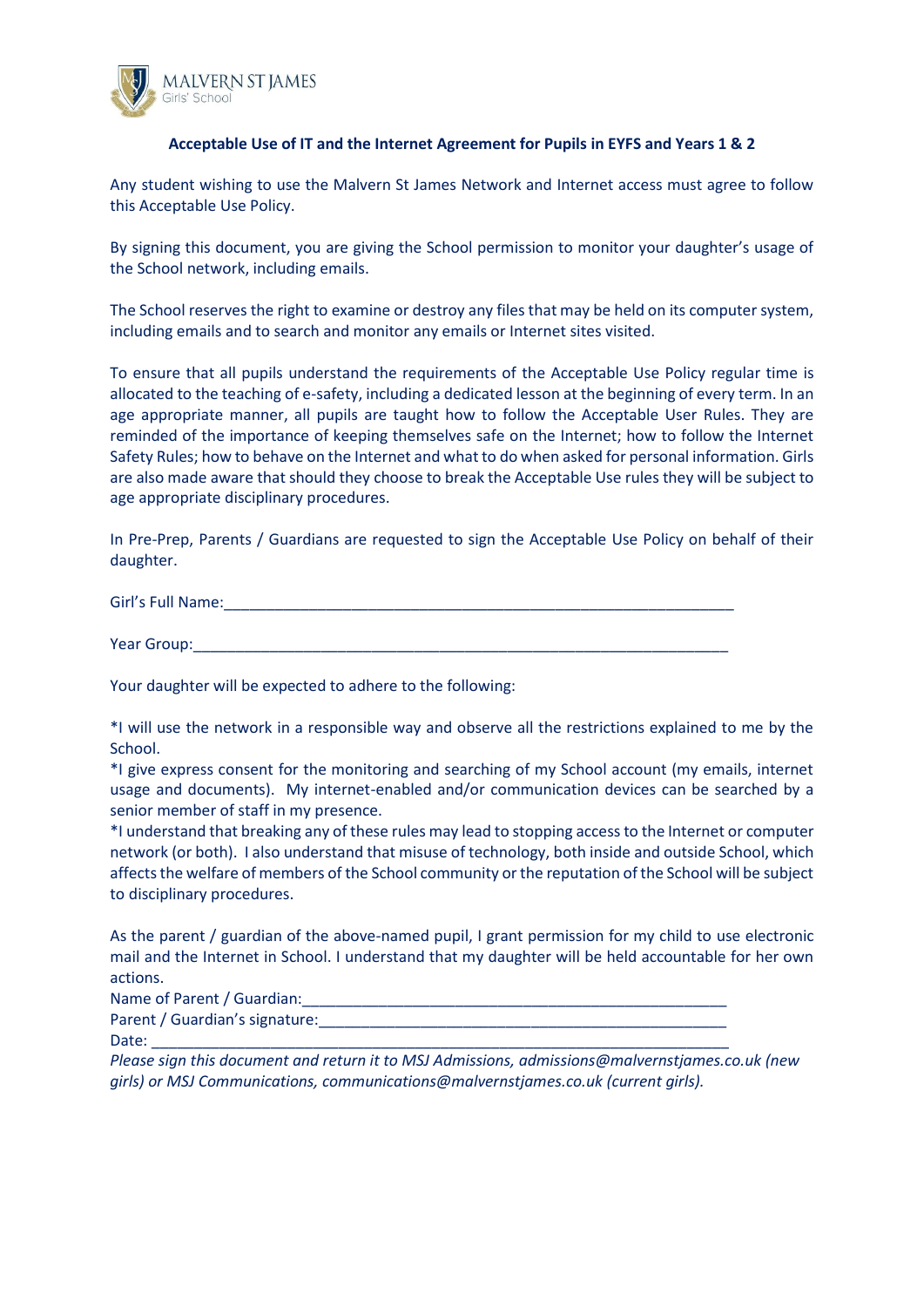

#### **Acceptable Use of IT and the Internet Agreement for Pupils in EYFS and Years 1 & 2**

Any student wishing to use the Malvern St James Network and Internet access must agree to follow this Acceptable Use Policy.

By signing this document, you are giving the School permission to monitor your daughter's usage of the School network, including emails.

The School reserves the right to examine or destroy any files that may be held on its computer system, including emails and to search and monitor any emails or Internet sites visited.

To ensure that all pupils understand the requirements of the Acceptable Use Policy regular time is allocated to the teaching of e-safety, including a dedicated lesson at the beginning of every term. In an age appropriate manner, all pupils are taught how to follow the Acceptable User Rules. They are reminded of the importance of keeping themselves safe on the Internet; how to follow the Internet Safety Rules; how to behave on the Internet and what to do when asked for personal information. Girls are also made aware that should they choose to break the Acceptable Use rules they will be subject to age appropriate disciplinary procedures.

In Pre-Prep, Parents / Guardians are requested to sign the Acceptable Use Policy on behalf of their daughter.

Girl's Full Name: The Contract of the Contract of the Contract of the Contract of the Contract of the Contract of the Contract of the Contract of the Contract of the Contract of the Contract of the Contract of the Contract

Year Group:

Your daughter will be expected to adhere to the following:

\*I will use the network in a responsible way and observe all the restrictions explained to me by the School.

\*I give express consent for the monitoring and searching of my School account (my emails, internet usage and documents). My internet-enabled and/or communication devices can be searched by a senior member of staff in my presence.

\*I understand that breaking any of these rules may lead to stopping access to the Internet or computer network (or both). I also understand that misuse of technology, both inside and outside School, which affects the welfare of members of the School community or the reputation of the School will be subject to disciplinary procedures.

As the parent / guardian of the above-named pupil, I grant permission for my child to use electronic mail and the Internet in School. I understand that my daughter will be held accountable for her own actions.

Name of Parent / Guardian:

Parent / Guardian's signature:

Date: \_\_\_\_\_\_\_\_\_\_\_\_\_\_\_\_\_\_\_\_\_\_\_\_\_\_\_\_\_\_\_\_\_\_\_\_\_\_\_\_\_\_\_\_\_\_\_\_\_\_\_\_\_\_\_\_\_\_\_\_\_\_\_\_\_\_\_\_

*Please sign this document and return it to MSJ Admissions, admissions@malvernstjames.co.uk (new girls) or MSJ Communications, communications@malvernstjames.co.uk (current girls).*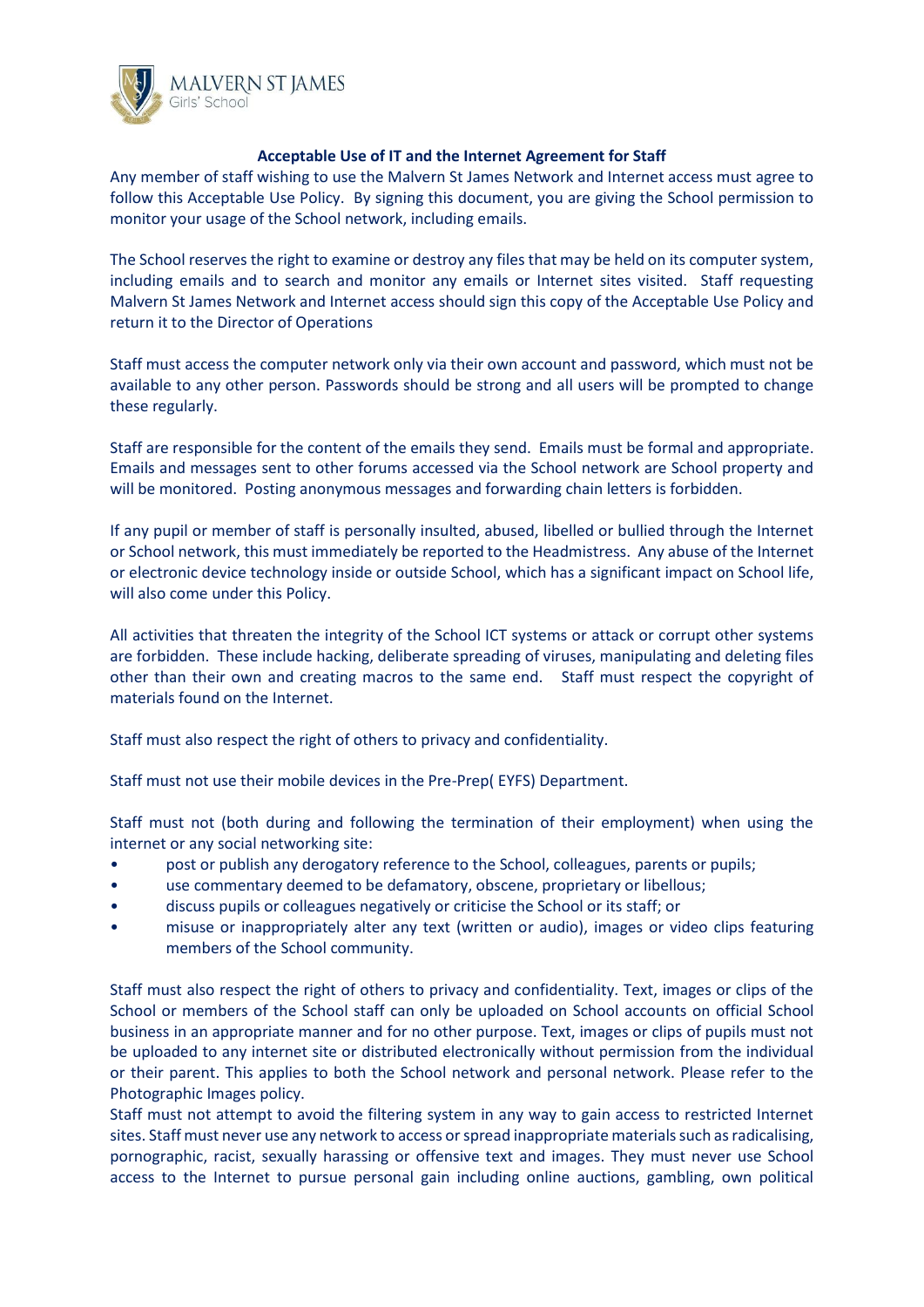

#### **Acceptable Use of IT and the Internet Agreement for Staff**

Any member of staff wishing to use the Malvern St James Network and Internet access must agree to follow this Acceptable Use Policy. By signing this document, you are giving the School permission to monitor your usage of the School network, including emails.

The School reserves the right to examine or destroy any files that may be held on its computer system, including emails and to search and monitor any emails or Internet sites visited. Staff requesting Malvern St James Network and Internet access should sign this copy of the Acceptable Use Policy and return it to the Director of Operations

Staff must access the computer network only via their own account and password, which must not be available to any other person. Passwords should be strong and all users will be prompted to change these regularly.

Staff are responsible for the content of the emails they send. Emails must be formal and appropriate. Emails and messages sent to other forums accessed via the School network are School property and will be monitored. Posting anonymous messages and forwarding chain letters is forbidden.

If any pupil or member of staff is personally insulted, abused, libelled or bullied through the Internet or School network, this must immediately be reported to the Headmistress. Any abuse of the Internet or electronic device technology inside or outside School, which has a significant impact on School life, will also come under this Policy.

All activities that threaten the integrity of the School ICT systems or attack or corrupt other systems are forbidden. These include hacking, deliberate spreading of viruses, manipulating and deleting files other than their own and creating macros to the same end. Staff must respect the copyright of materials found on the Internet.

Staff must also respect the right of others to privacy and confidentiality.

Staff must not use their mobile devices in the Pre-Prep( EYFS) Department.

Staff must not (both during and following the termination of their employment) when using the internet or any social networking site:

- post or publish any derogatory reference to the School, colleagues, parents or pupils;
- use commentary deemed to be defamatory, obscene, proprietary or libellous;
- discuss pupils or colleagues negatively or criticise the School or its staff; or
- misuse or inappropriately alter any text (written or audio), images or video clips featuring members of the School community.

Staff must also respect the right of others to privacy and confidentiality. Text, images or clips of the School or members of the School staff can only be uploaded on School accounts on official School business in an appropriate manner and for no other purpose. Text, images or clips of pupils must not be uploaded to any internet site or distributed electronically without permission from the individual or their parent. This applies to both the School network and personal network. Please refer to the Photographic Images policy.

Staff must not attempt to avoid the filtering system in any way to gain access to restricted Internet sites. Staff must never use any network to access or spread inappropriate materials such as radicalising, pornographic, racist, sexually harassing or offensive text and images. They must never use School access to the Internet to pursue personal gain including online auctions, gambling, own political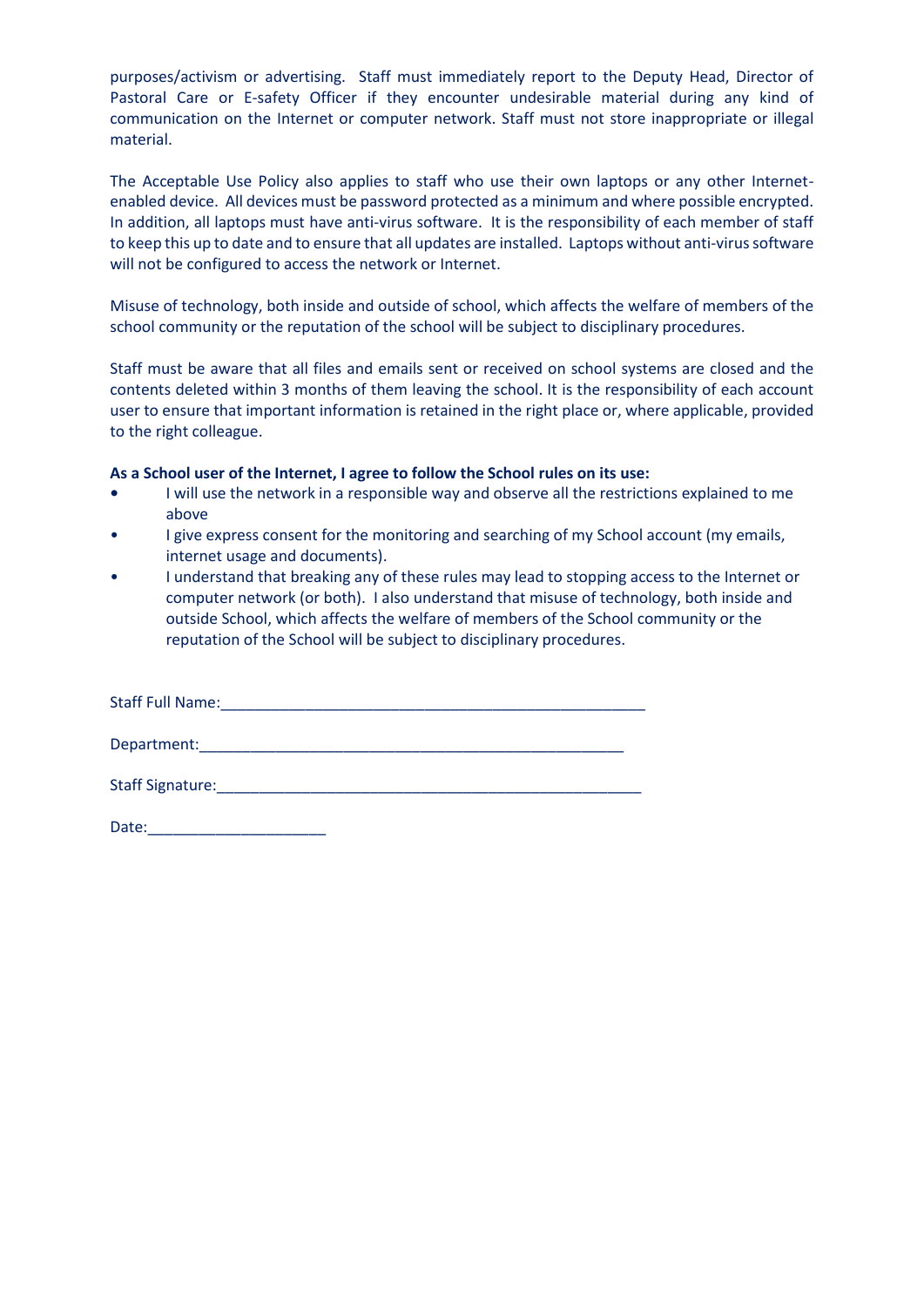purposes/activism or advertising. Staff must immediately report to the Deputy Head, Director of Pastoral Care or E-safety Officer if they encounter undesirable material during any kind of communication on the Internet or computer network. Staff must not store inappropriate or illegal material.

The Acceptable Use Policy also applies to staff who use their own laptops or any other Internetenabled device. All devices must be password protected as a minimum and where possible encrypted. In addition, all laptops must have anti-virus software. It is the responsibility of each member of staff to keep this up to date and to ensure that all updates are installed. Laptops without anti-virus software will not be configured to access the network or Internet.

Misuse of technology, both inside and outside of school, which affects the welfare of members of the school community or the reputation of the school will be subject to disciplinary procedures.

Staff must be aware that all files and emails sent or received on school systems are closed and the contents deleted within 3 months of them leaving the school. It is the responsibility of each account user to ensure that important information is retained in the right place or, where applicable, provided to the right colleague.

#### **As a School user of the Internet, I agree to follow the School rules on its use:**

- **•** I will use the network in a responsible way and observe all the restrictions explained to me above
- I give express consent for the monitoring and searching of my School account (my emails, internet usage and documents).
- I understand that breaking any of these rules may lead to stopping access to the Internet or computer network (or both). I also understand that misuse of technology, both inside and outside School, which affects the welfare of members of the School community or the reputation of the School will be subject to disciplinary procedures.

| <b>Staff Full Name:</b> |  |  |
|-------------------------|--|--|
| Department:             |  |  |
| Staff Signature:        |  |  |

| Date: |  |  |  |  |  |  |  |
|-------|--|--|--|--|--|--|--|
|       |  |  |  |  |  |  |  |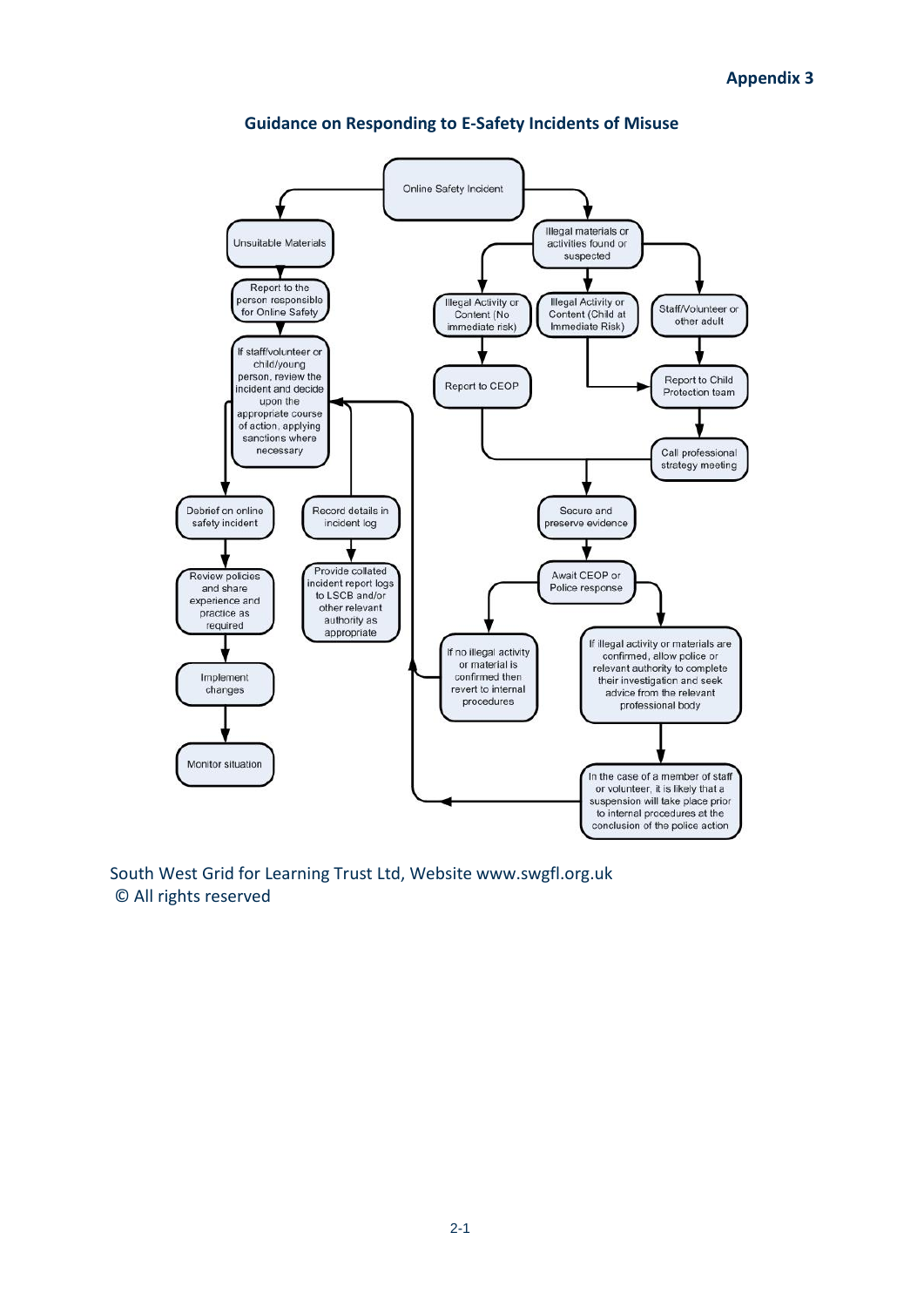

#### **Guidance on Responding to E-Safety Incidents of Misuse**

South West Grid for Learning Trust Ltd, Website www.swgfl.org.uk © All rights reserved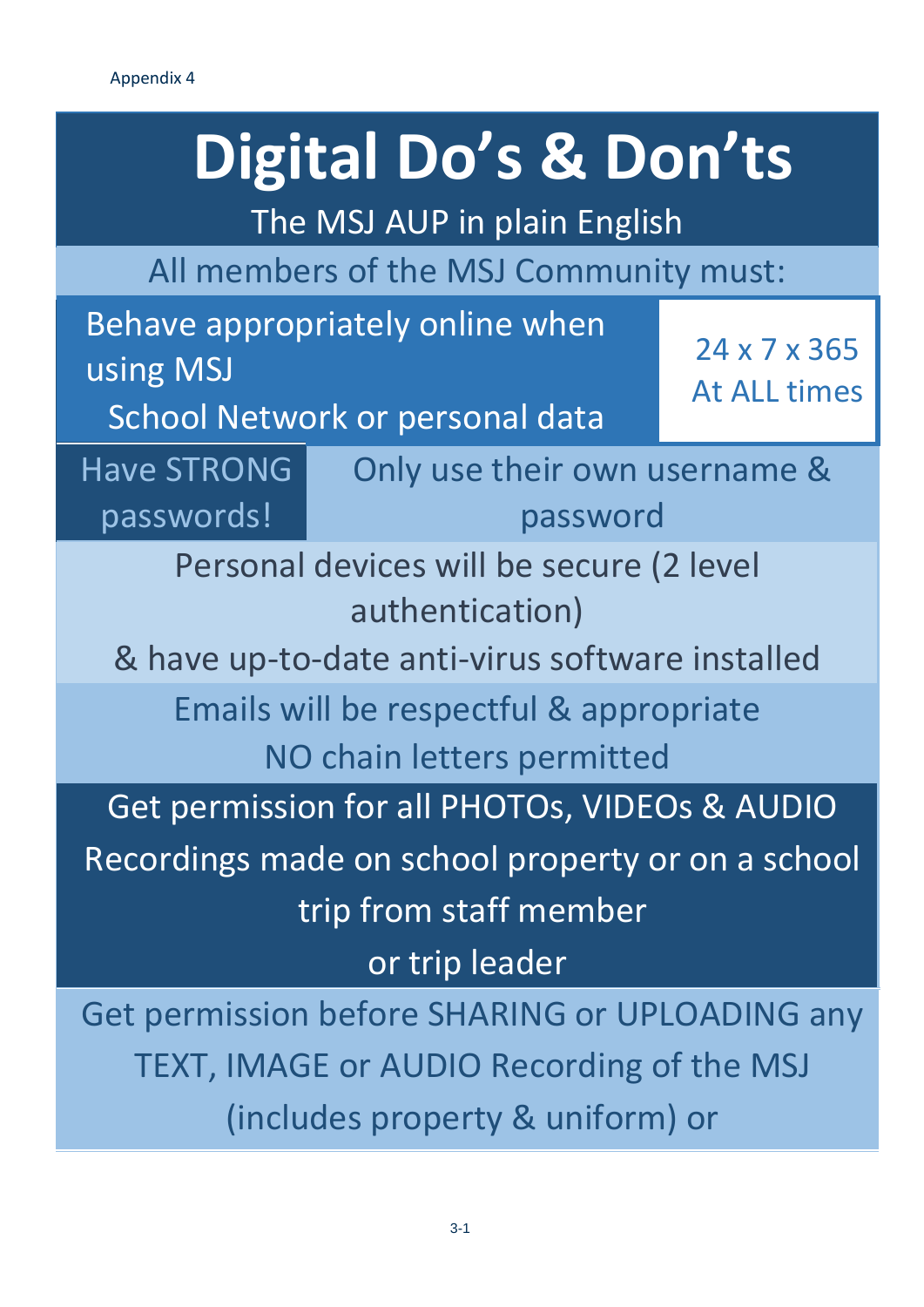# **Digital Do's & Don'ts**

The MSJ AUP in plain English

All members of the MSJ Community must:

Behave appropriately online when using MSJ

24 x 7 x 365 At ALL times

School Network or personal data

Have STRONG passwords!

Only use their own username & password

Personal devices will be secure (2 level authentication)

& have up-to-date anti-virus software installed

Emails will be respectful & appropriate

NO chain letters permitted

Get permission for all PHOTOs, VIDEOs & AUDIO

Recordings made on school property or on a school

trip from staff member

or trip leader

Get permission before SHARING or UPLOADING any TEXT, IMAGE or AUDIO Recording of the MSJ (includes property & uniform) or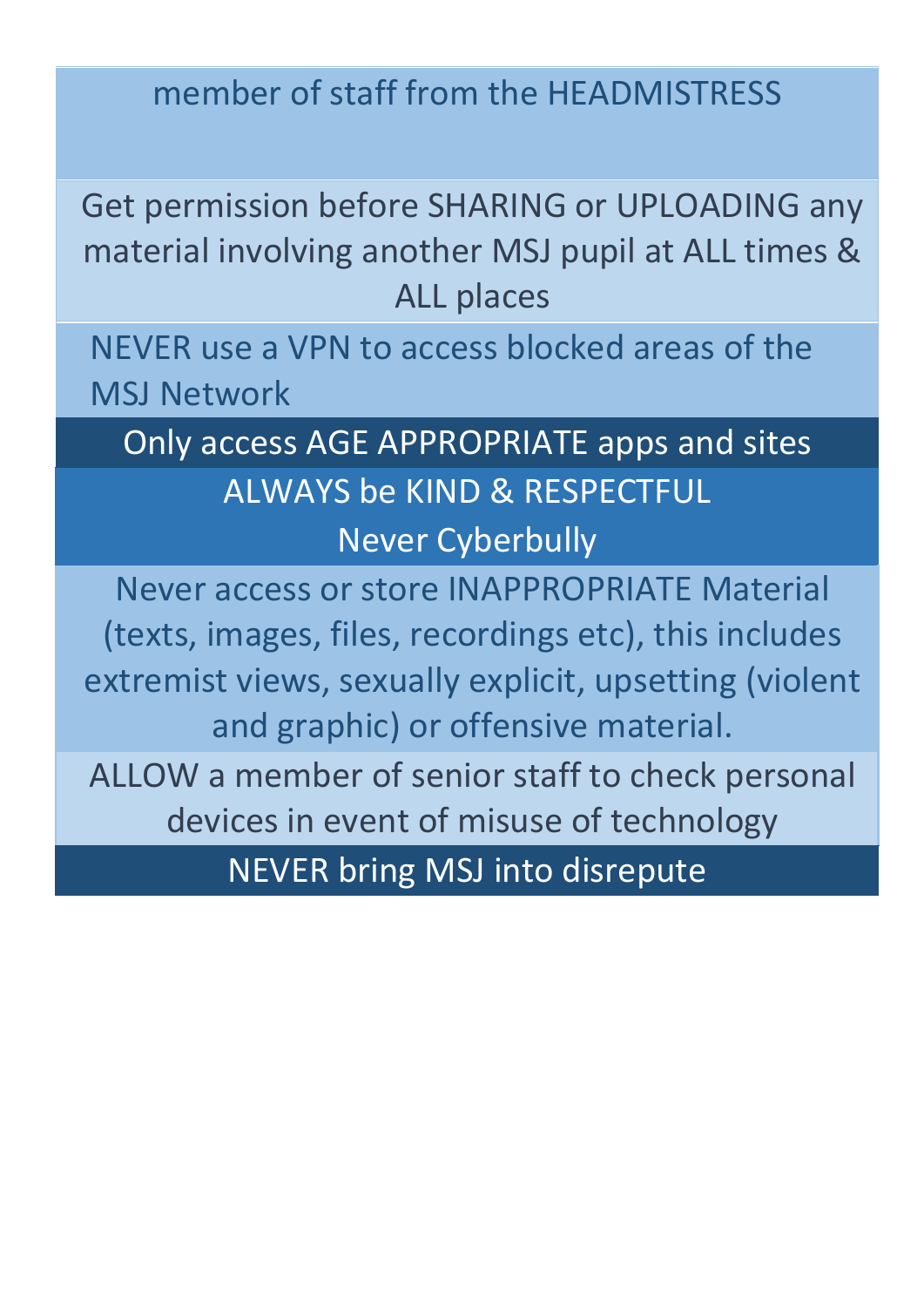# member of staff from the HEADMISTRESS

Get permission before SHARING or UPLOADING any material involving another MSJ pupil at ALL times & ALL places

NEVER use a VPN to access blocked areas of the MSJ Network

Only access AGE APPROPRIATE apps and sites ALWAYS be KIND & RESPECTFUL Never Cyberbully

Never access or store INAPPROPRIATE Material (texts, images, files, recordings etc), this includes extremist views, sexually explicit, upsetting (violent and graphic) or offensive material.

ALLOW a member of senior staff to check personal devices in event of misuse of technology

NEVER bring MSJ into disrepute